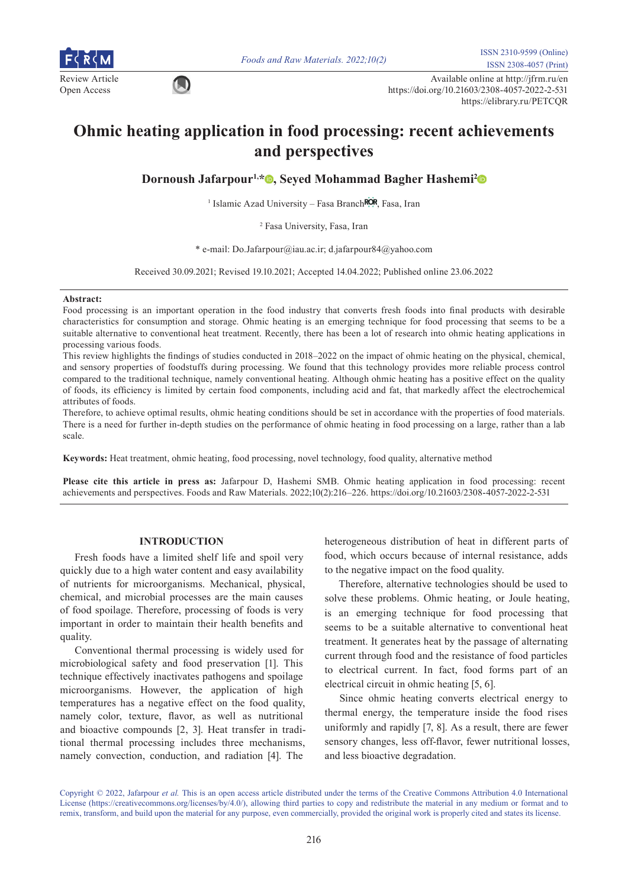

Review Article Available online at http://jfrm.ru/en<br>  $\bigcirc$  Available online at http://jfrm.ru/en Open Access https://doi.org/10.21603/2308-4057-2022-2-531 https://elibrary.ru/PETCQR

# **Ohmic heating application in food processing: recent achievements and perspectives**

**Dornoush Jafarpour1,[\\*](https://orcid.org/0000-0002-7895-4862) , Seyed Mohammad Bagher Hashemi[2](https://orcid.org/0000-0002-5630-3989)**

<sup>1</sup> Islamic Azad University – Fasa Branch<sup>ROR</sup>[,](https://ror.org/01xbtjm93) Fasa, Iran

2 Fasa University, Fasa, Iran

\* e-mail: Do.Jafarpour@iau.ac.ir; d.jafarpour84@yahoo.com

Received 30.09.2021; Revised 19.10.2021; Accepted 14.04.2022; Published online 23.06.2022

#### **Abstract:**

Food processing is an important operation in the food industry that converts fresh foods into final products with desirable characteristics for consumption and storage. Ohmic heating is an emerging technique for food processing that seems to be a suitable alternative to conventional heat treatment. Recently, there has been a lot of research into ohmic heating applications in processing various foods.

This review highlights the findings of studies conducted in 2018–2022 on the impact of ohmic heating on the physical, chemical, and sensory properties of foodstuffs during processing. We found that this technology provides more reliable process control compared to the traditional technique, namely conventional heating. Although ohmic heating has a positive effect on the quality of foods, its efficiency is limited by certain food components, including acid and fat, that markedly affect the electrochemical attributes of foods.

Therefore, to achieve optimal results, ohmic heating conditions should be set in accordance with the properties of food materials. There is a need for further in-depth studies on the performance of ohmic heating in food processing on a large, rather than a lab scale.

**Keywords:** Heat treatment, ohmic heating, food processing, novel technology, food quality, alternative method

**Please cite this article in press as:** Jafarpour D, Hashemi SMB. Ohmic heating application in food processing: recent achievements and perspectives. Foods and Raw Materials. 2022;10(2):216–226. https://doi.org/10.21603/2308-4057-2022-2-531

## **INTRODUCTION**

Fresh foods have a limited shelf life and spoil very quickly due to a high water content and easy availability of nutrients for microorganisms. Mechanical, physical, chemical, and microbial processes are the main causes of food spoilage. Therefore, processing of foods is very important in order to maintain their health benefits and quality.

Conventional thermal processing is widely used for microbiological safety and food preservation [1]. This technique effectively inactivates pathogens and spoilage microorganisms. However, the application of high temperatures has a negative effect on the food quality, namely color, texture, flavor, as well as nutritional and bioactive compounds [2, 3]. Heat transfer in traditional thermal processing includes three mechanisms, namely convection, conduction, and radiation [4]. The

heterogeneous distribution of heat in different parts of food, which occurs because of internal resistance, adds to the negative impact on the food quality.

Therefore, alternative technologies should be used to solve these problems. Ohmic heating, or Joule heating, is an emerging technique for food processing that seems to be a suitable alternative to conventional heat treatment. It generates heat by the passage of alternating current through food and the resistance of food particles to electrical current. In fact, food forms part of an electrical circuit in ohmic heating [5, 6].

Since ohmic heating converts electrical energy to thermal energy, the temperature inside the food rises uniformly and rapidly [7, 8]. As a result, there are fewer sensory changes, less off-flavor, fewer nutritional losses, and less bioactive degradation.

Copyright © 2022, Jafarpour *et al.* This is an open access article distributed under the terms of the Creative Commons Attribution 4.0 International License (https://creativecommons.org/licenses/by/4.0/), allowing third parties to copy and redistribute the material in any medium or format and to remix, transform, and build upon the material for any purpose, even commercially, provided the original work is properly cited and states its license.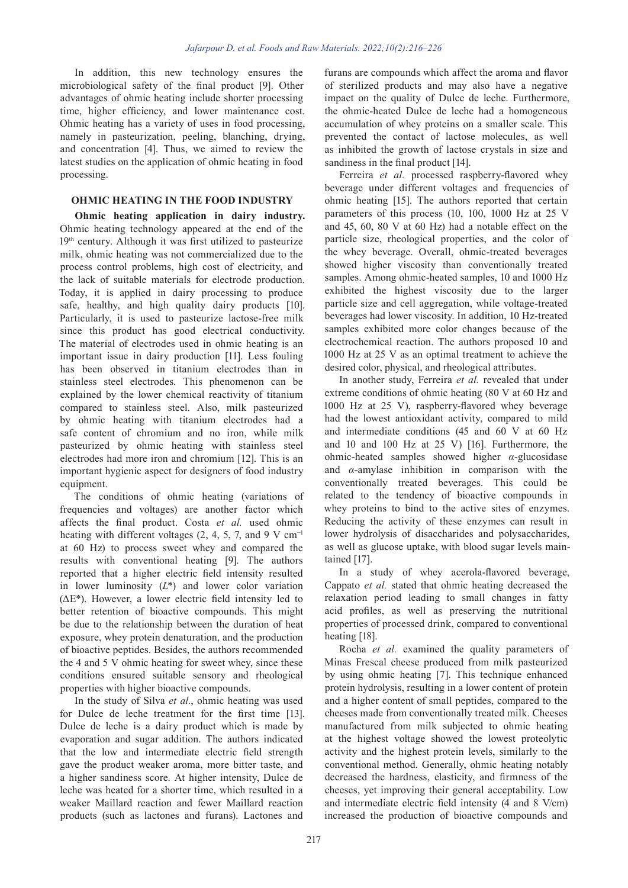In addition, this new technology ensures the microbiological safety of the final product [9]. Other advantages of ohmic heating include shorter processing time, higher efficiency, and lower maintenance cost. Ohmic heating has a variety of uses in food processing, namely in pasteurization, peeling, blanching, drying, and concentration [4]. Thus, we aimed to review the latest studies on the application of ohmic heating in food processing.

## **OHMIC HEATING IN THE FOOD INDUSTRY**

**Ohmic heating application in dairy industry.**  Ohmic heating technology appeared at the end of the 19<sup>th</sup> century. Although it was first utilized to pasteurize milk, ohmic heating was not commercialized due to the process control problems, high cost of electricity, and the lack of suitable materials for electrode production. Today, it is applied in dairy processing to produce safe, healthy, and high quality dairy products [10]. Particularly, it is used to pasteurize lactose-free milk since this product has good electrical conductivity. The material of electrodes used in ohmic heating is an important issue in dairy production [11]. Less fouling has been observed in titanium electrodes than in stainless steel electrodes. This phenomenon can be explained by the lower chemical reactivity of titanium compared to stainless steel. Also, milk pasteurized by ohmic heating with titanium electrodes had a safe content of chromium and no iron, while milk pasteurized by ohmic heating with stainless steel electrodes had more iron and chromium [12]. This is an important hygienic aspect for designers of food industry equipment.

The conditions of ohmic heating (variations of frequencies and voltages) are another factor which affects the final product. Costa *et al.* used ohmic heating with different voltages (2, 4, 5, 7, and 9 V cm<sup>-1</sup> at 60 Hz) to process sweet whey and compared the results with conventional heating [9]. The authors reported that a higher electric field intensity resulted in lower luminosity (*L*\*) and lower color variation (ΔE\*). However, a lower electric field intensity led to better retention of bioactive compounds. This might be due to the relationship between the duration of heat exposure, whey protein denaturation, and the production of bioactive peptides. Besides, the authors recommended the 4 and 5 V ohmic heating for sweet whey, since these conditions ensured suitable sensory and rheological properties with higher bioactive compounds.

In the study of Silva *et al.*, ohmic heating was used for Dulce de leche treatment for the first time [13]. Dulce de leche is a dairy product which is made by evaporation and sugar addition. The authors indicated that the low and intermediate electric field strength gave the product weaker aroma, more bitter taste, and a higher sandiness score. At higher intensity, Dulce de leche was heated for a shorter time, which resulted in a weaker Maillard reaction and fewer Maillard reaction products (such as lactones and furans). Lactones and

furans are compounds which affect the aroma and flavor of sterilized products and may also have a negative impact on the quality of Dulce de leche. Furthermore, the ohmic-heated Dulce de leche had a homogeneous accumulation of whey proteins on a smaller scale. This prevented the contact of lactose molecules, as well as inhibited the growth of lactose crystals in size and sandiness in the final product [14].

Ferreira *et al.* processed raspberry-flavored whey beverage under different voltages and frequencies of ohmic heating [15]. The authors reported that certain parameters of this process (10, 100, 1000 Hz at 25 V and 45, 60, 80 V at 60 Hz) had a notable effect on the particle size, rheological properties, and the color of the whey beverage. Overall, ohmic-treated beverages showed higher viscosity than conventionally treated samples. Among ohmic-heated samples, 10 and 1000 Hz exhibited the highest viscosity due to the larger particle size and cell aggregation, while voltage-treated beverages had lower viscosity. In addition, 10 Hz-treated samples exhibited more color changes because of the electrochemical reaction. The authors proposed 10 and 1000 Hz at 25 V as an optimal treatment to achieve the desired color, physical, and rheological [attribute](https://www.powerthesaurus.org/attribute/synonyms)s.

In another study, Ferreira *et al.* revealed that under extreme conditions of ohmic heating (80 V at 60 Hz and 1000 Hz at 25 V), raspberry-flavored whey beverage had the lowest antioxidant activity, compared to mild and intermediate conditions (45 and 60 V at 60 Hz and 10 and 100 Hz at 25 V) [16]. Furthermore, the ohmic-heated samples showed higher *α*-glucosidase and *α*-amylase inhibition in comparison with the conventionally treated beverages. This could be related to the tendency of bioactive compounds in whey proteins to bind to the active sites of enzymes. Reducing the activity of these enzymes can result in lower hydrolysis of disaccharides and polysaccharides, as well as glucose uptake, with blood sugar levels maintained [17].

In a study of whey acerola-flavored beverage, Cappato *et al.* stated that ohmic heating decreased the relaxation period leading to small changes in fatty acid profiles, as well as preserving the nutritional properties of processed drink, compared to conventional heating [18].

Rocha *et al.* examined the quality parameters of Minas Frescal cheese produced from milk pasteurized by using ohmic heating [7]. This technique enhanced protein hydrolysis, resulting in a lower content of protein and a higher content of small peptides, compared to the cheeses made from conventionally treated milk. Cheeses manufactured from milk subjected to ohmic heating at the highest voltage showed the lowest proteolytic activity and the highest protein levels, similarly to the conventional method. Generally, ohmic heating notably decreased the hardness, elasticity, and firmness of the cheeses, yet improving their general acceptability. Low and intermediate electric field intensity (4 and 8 V/cm) increased the production of bioactive compounds and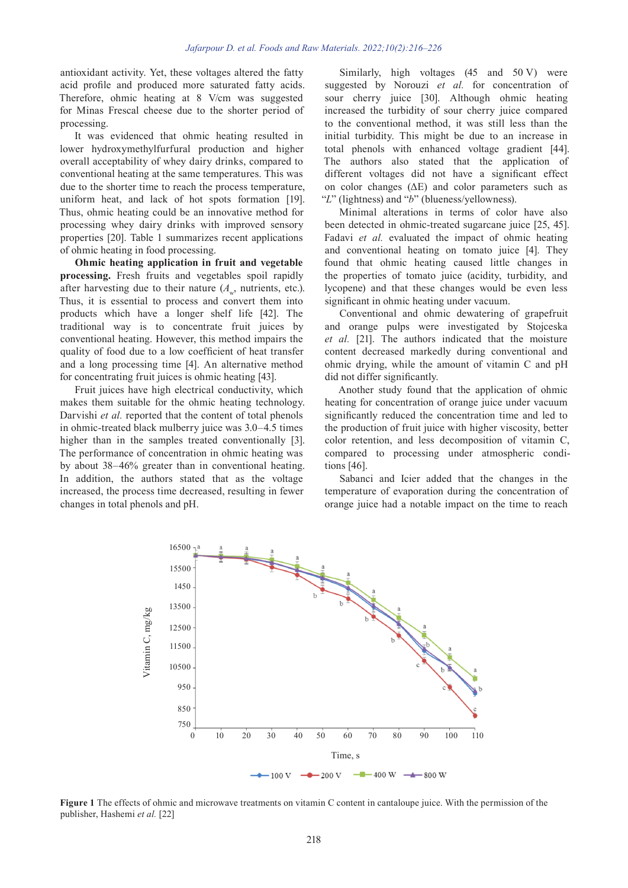antioxidant activity. Yet, these voltages altered the fatty acid profile and produced more saturated fatty acids. Therefore, ohmic heating at 8 V/cm was suggested for Minas Frescal cheese due to the shorter period of processing.

It was evidenced that ohmic heating resulted in lower hydroxymethylfurfural production and higher overall acceptability of whey dairy drinks, compared to conventional heating at the same temperatures. This was due to the shorter time to reach the process temperature, uniform heat, and lack of hot spots formation [19]. Thus, ohmic heating could be an innovative method for processing whey dairy drinks with improved sensory properties [20]. Table 1 summarizes recent applications of ohmic heating in food processing.

**Ohmic heating application in fruit and vegetable processing.** Fresh fruits and vegetables spoil rapidly after harvesting due to their nature  $(A_{\mu}, \text{nutrients, etc.}).$ Thus, it is essential to process and convert them into products which have a longer shelf life [42]. The traditional way is to concentrate fruit juices by conventional heating. However, this method impairs the quality of food due to a low coefficient of heat transfer and a long processing time [4]. An alternative method for concentrating fruit juices is ohmic heating [43].

Fruit juices have high electrical conductivity, which makes them suitable for the ohmic heating technology. Darvishi *et al.* reported that the content of total phenols in ohmic-treated black mulberry juice was 3.0–4.5 times higher than in the samples treated conventionally [3]. The performance of concentration in ohmic heating was by about 38–46% greater than in conventional heating. In addition, the authors stated that as the voltage increased, the process time decreased, resulting in fewer changes in total phenols and pH.

Similarly, high voltages (45 and 50 V) were suggested by Norouzi *et al.* for concentration of sour cherry juice [30]. Although ohmic heating increased the turbidity of sour cherry juice compared to the conventional method, it was still less than the initial turbidity. This might be due to an increase in total phenols with enhanced voltage gradient [44]. The authors also stated that the application of different voltages did not have a significant effect on color changes (ΔE) and color parameters such as "*L*" (lightness) and "*b*" (blueness/yellowness).

Minimal alterations in terms of color have also been detected in ohmic-treated sugarcane juice [25, 45]. Fadavi *et al.* evaluated the impact of ohmic heating and conventional heating on tomato juice [4]. They found that ohmic heating caused little changes in the properties of tomato juice (acidity, turbidity, and lycopene) and that these changes would be even less significant in ohmic heating under vacuum.

Conventional and ohmic dewatering of grapefruit and orange pulps were investigated by Stojceska *et al.* [21]. The authors indicated that the moisture content decreased [markedly](https://www.powerthesaurus.org/markedly/synonyms) during conventional and ohmic drying, while the amount of vitamin C and pH did not differ significantly.

Another study found that the application of ohmic heating for concentration of orange juice under vacuum significantly reduced the concentration time and led to the production of fruit juice with higher viscosity, better color retention, and less decomposition of vitamin C, compared to processing under atmospheric conditions [46].

Sabanci and Icier added that the changes in the temperature of evaporation during the concentration of orange juice had a notable impact on the time to reach



**Figure 1** The effects of ohmic and microwave treatments on vitamin C content in cantaloupe juice. With the permission of the publisher, Hashemi *et al.* [22]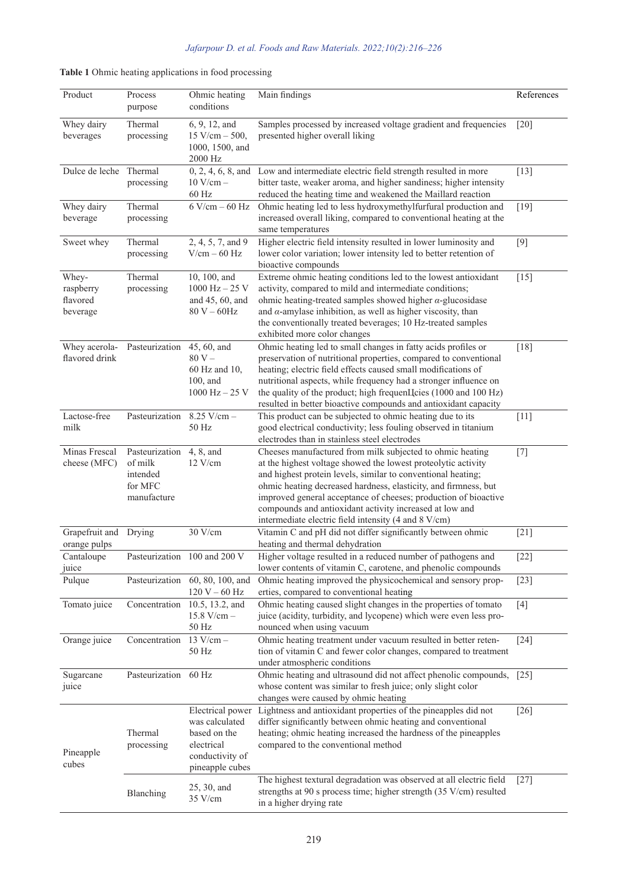|  | Table 1 Ohmic heating applications in food processing |  |  |
|--|-------------------------------------------------------|--|--|
|  |                                                       |  |  |
|  |                                                       |  |  |

| Product                                    | Process<br>purpose                                              | Ohmic heating<br>conditions                                                                            | Main findings                                                                                                                                                                                                                                                                                                                                                                                                                                       | References         |
|--------------------------------------------|-----------------------------------------------------------------|--------------------------------------------------------------------------------------------------------|-----------------------------------------------------------------------------------------------------------------------------------------------------------------------------------------------------------------------------------------------------------------------------------------------------------------------------------------------------------------------------------------------------------------------------------------------------|--------------------|
| Whey dairy<br>beverages                    | Thermal<br>processing                                           | 6, 9, 12, and<br>$15$ V/cm $- 500$ ,<br>1000, 1500, and<br>2000 Hz                                     | Samples processed by increased voltage gradient and frequencies<br>presented higher overall liking                                                                                                                                                                                                                                                                                                                                                  | [20]               |
| Dulce de leche Thermal                     | processing                                                      | $0, 2, 4, 6, 8,$ and<br>$10$ V/cm $-$<br>60 Hz                                                         | Low and intermediate electric field strength resulted in more<br>bitter taste, weaker aroma, and higher sandiness; higher intensity<br>reduced the heating time and weakened the Maillard reaction                                                                                                                                                                                                                                                  | $[13]$             |
| Whey dairy<br>beverage                     | Thermal<br>processing                                           | $6$ V/cm $-60$ Hz                                                                                      | Ohmic heating led to less hydroxymethylfurfural production and<br>increased overall liking, compared to conventional heating at the<br>same temperatures                                                                                                                                                                                                                                                                                            | $[19]$             |
| Sweet whey                                 | Thermal<br>processing                                           | 2, 4, 5, 7, and 9<br>$V/cm - 60 Hz$                                                                    | Higher electric field intensity resulted in lower luminosity and<br>lower color variation; lower intensity led to better retention of<br>bioactive compounds                                                                                                                                                                                                                                                                                        | $[9]$              |
| Whey-<br>raspberry<br>flavored<br>beverage | Thermal<br>processing                                           | 10, 100, and<br>$1000$ Hz $- 25$ V<br>and $45, 60,$ and<br>$80 V - 60 Hz$                              | Extreme ohmic heating conditions led to the lowest antioxidant<br>activity, compared to mild and intermediate conditions;<br>ohmic heating-treated samples showed higher $\alpha$ -glucosidase<br>and $\alpha$ -amylase inhibition, as well as higher viscosity, than<br>the conventionally treated beverages; 10 Hz-treated samples<br>exhibited more color changes                                                                                | $[15]$             |
| Whey acerola-<br>flavored drink            | Pasteurization                                                  | 45, 60, and<br>$80V -$<br>60 Hz and 10,<br>100, and<br>$1000$ Hz $- 25$ V                              | Ohmic heating led to small changes in fatty acids profiles or<br>preservation of nutritional properties, compared to conventional<br>heating; electric field effects caused small modifications of<br>nutritional aspects, while frequency had a stronger influence on<br>the quality of the product; high frequenЦcies (1000 and 100 Hz)<br>resulted in better bioactive compounds and antioxidant capacity                                        | $[18]$             |
| Lactose-free<br>milk                       | Pasteurization                                                  | $8.25$ V/cm $-$<br>50 Hz                                                                               | This product can be subjected to ohmic heating due to its<br>good electrical conductivity; less fouling observed in titanium<br>electrodes than in stainless steel electrodes                                                                                                                                                                                                                                                                       | $[11]$             |
| Minas Frescal<br>cheese (MFC)              | Pasteurization<br>of milk<br>intended<br>for MFC<br>manufacture | 4, 8, and<br>$12$ V/cm                                                                                 | Cheeses manufactured from milk subjected to ohmic heating<br>at the highest voltage showed the lowest proteolytic activity<br>and highest protein levels, similar to conventional heating;<br>ohmic heating decreased hardness, elasticity, and firmness, but<br>improved general acceptance of cheeses; production of bioactive<br>compounds and antioxidant activity increased at low and<br>intermediate electric field intensity (4 and 8 V/cm) | $[7]$              |
| Grapefruit and<br>orange pulps             | Drying                                                          | 30 V/cm                                                                                                | Vitamin C and pH did not differ significantly between ohmic<br>heating and thermal dehydration                                                                                                                                                                                                                                                                                                                                                      | $[21]$             |
| Cantaloupe<br>juice                        |                                                                 | Pasteurization 100 and 200 V                                                                           | Higher voltage resulted in a reduced number of pathogens and<br>lower contents of vitamin C, carotene, and phenolic compounds                                                                                                                                                                                                                                                                                                                       | $[22]$             |
| Pulque                                     |                                                                 | Pasteurization 60, 80, 100, and<br>$120$ V – $60$ Hz                                                   | Ohmic heating improved the physicochemical and sensory prop-<br>erties, compared to conventional heating                                                                                                                                                                                                                                                                                                                                            | $[23]$             |
| Tomato juice                               |                                                                 | Concentration 10.5, 13.2, and<br>$15.8 V/cm -$<br>$50\ \mathrm{Hz}$                                    | Ohmic heating caused slight changes in the properties of tomato<br>juice (acidity, turbidity, and lycopene) which were even less pro-<br>nounced when using vacuum                                                                                                                                                                                                                                                                                  | $[4]$              |
| Orange juice                               | Concentration                                                   | $13$ V/cm $-$<br>50 Hz                                                                                 | Ohmic heating treatment under vacuum resulted in better reten-<br>tion of vitamin C and fewer color changes, compared to treatment<br>under atmospheric conditions                                                                                                                                                                                                                                                                                  | $[24]$             |
| Sugarcane<br>juice                         | Pasteurization                                                  | 60 Hz                                                                                                  | Ohmic heating and ultrasound did not affect phenolic compounds,<br>whose content was similar to fresh juice; only slight color<br>changes were caused by ohmic heating                                                                                                                                                                                                                                                                              | $\lceil 25 \rceil$ |
| Pineapple<br>cubes                         | Thermal<br>processing                                           | Electrical power<br>was calculated<br>based on the<br>electrical<br>conductivity of<br>pineapple cubes | Lightness and antioxidant properties of the pineapples did not<br>differ significantly between ohmic heating and conventional<br>heating; ohmic heating increased the hardness of the pineapples<br>compared to the conventional method                                                                                                                                                                                                             | $[26]$             |
|                                            | Blanching                                                       | 25, 30, and<br>35 V/cm                                                                                 | The highest textural degradation was observed at all electric field<br>strengths at 90 s process time; higher strength (35 V/cm) resulted<br>in a higher drying rate                                                                                                                                                                                                                                                                                | $[27]$             |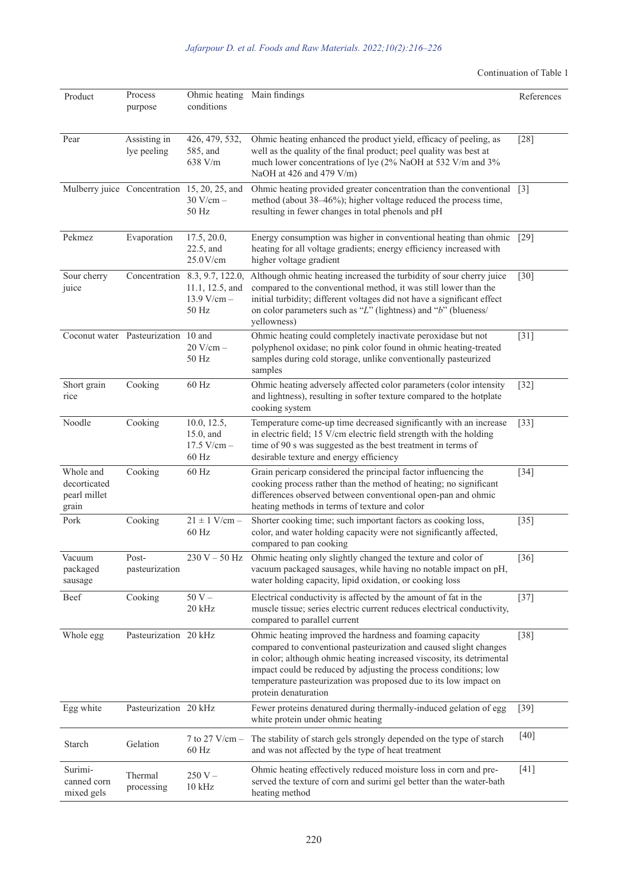Continuation of Table 1

| Product                                            | Process<br>purpose                  | Ohmic heating Main findings<br>conditions                                   |                                                                                                                                                                                                                                                                                                                                                                        | References         |
|----------------------------------------------------|-------------------------------------|-----------------------------------------------------------------------------|------------------------------------------------------------------------------------------------------------------------------------------------------------------------------------------------------------------------------------------------------------------------------------------------------------------------------------------------------------------------|--------------------|
| Pear                                               | Assisting in<br>lye peeling         | 426, 479, 532,<br>585, and<br>638 V/m                                       | Ohmic heating enhanced the product yield, efficacy of peeling, as<br>well as the quality of the final product; peel quality was best at<br>much lower concentrations of lye (2% NaOH at 532 V/m and 3%<br>NaOH at 426 and 479 $V/m$ )                                                                                                                                  | $[28]$             |
|                                                    |                                     | Mulberry juice Concentration 15, 20, 25, and<br>$30$ V/cm $-$<br>50 Hz      | Ohmic heating provided greater concentration than the conventional [3]<br>method (about 38–46%); higher voltage reduced the process time,<br>resulting in fewer changes in total phenols and pH                                                                                                                                                                        |                    |
| Pekmez                                             | Evaporation                         | 17.5, 20.0,<br>$22.5$ , and<br>25.0 V/cm                                    | Energy consumption was higher in conventional heating than ohmic<br>heating for all voltage gradients; energy efficiency increased with<br>higher voltage gradient                                                                                                                                                                                                     | $\lceil 29 \rceil$ |
| Sour cherry<br>juice                               |                                     | Concentration 8.3, 9.7, 122.0,<br>11.1, 12.5, and<br>$13.9 V/cm -$<br>50 Hz | Although ohmic heating increased the turbidity of sour cherry juice<br>compared to the conventional method, it was still lower than the<br>initial turbidity; different voltages did not have a significant effect<br>on color parameters such as " $L$ " (lightness) and "b" (blueness/<br>yellowness)                                                                | $[30]$             |
|                                                    | Coconut water Pasteurization 10 and | $20$ V/cm $-$<br>50 Hz                                                      | Ohmic heating could completely inactivate peroxidase but not<br>polyphenol oxidase; no pink color found in ohmic heating-treated<br>samples during cold storage, unlike conventionally pasteurized<br>samples                                                                                                                                                          | $[31]$             |
| Short grain<br>rice                                | Cooking                             | 60 Hz                                                                       | Ohmic heating adversely affected color parameters (color intensity<br>and lightness), resulting in softer texture compared to the hotplate<br>cooking system                                                                                                                                                                                                           | $[32]$             |
| Noodle                                             | Cooking                             | 10.0, 12.5,<br>$15.0$ , and<br>$17.5 V/cm -$<br>60 Hz                       | Temperature come-up time decreased significantly with an increase<br>in electric field; 15 V/cm electric field strength with the holding<br>time of 90 s was suggested as the best treatment in terms of<br>desirable texture and energy efficiency                                                                                                                    | $[33]$             |
| Whole and<br>decorticated<br>pearl millet<br>grain | Cooking                             | 60 Hz                                                                       | Grain pericarp considered the principal factor influencing the<br>cooking process rather than the method of heating; no significant<br>differences observed between conventional open-pan and ohmic<br>heating methods in terms of texture and color                                                                                                                   | $[34]$             |
| Pork                                               | Cooking                             | $21 \pm 1$ V/cm –<br>60 Hz                                                  | Shorter cooking time; such important factors as cooking loss,<br>color, and water holding capacity were not significantly affected,<br>compared to pan cooking                                                                                                                                                                                                         | $[35]$             |
| Vacuum<br>packaged<br>sausage                      | Post-<br>pasteurization             | $230 V - 50 Hz$                                                             | Ohmic heating only slightly changed the texture and color of<br>vacuum packaged sausages, while having no notable impact on pH,<br>water holding capacity, lipid oxidation, or cooking loss                                                                                                                                                                            | $\lceil 36 \rceil$ |
| Beef                                               | Cooking                             | $50V -$<br>20 kHz                                                           | Electrical conductivity is affected by the amount of fat in the<br>muscle tissue; series electric current reduces electrical conductivity,<br>compared to parallel current                                                                                                                                                                                             | $[37]$             |
| Whole egg                                          | Pasteurization 20 kHz               |                                                                             | Ohmic heating improved the hardness and foaming capacity<br>compared to conventional pasteurization and caused slight changes<br>in color; although ohmic heating increased viscosity, its detrimental<br>impact could be reduced by adjusting the process conditions; low<br>temperature pasteurization was proposed due to its low impact on<br>protein denaturation | $[38]$             |
| Egg white                                          | Pasteurization 20 kHz               |                                                                             | Fewer proteins denatured during thermally-induced gelation of egg<br>white protein under ohmic heating                                                                                                                                                                                                                                                                 | $[39]$             |
| Starch                                             | Gelation                            | 7 to $27$ V/cm $-$<br>60 Hz                                                 | The stability of starch gels strongly depended on the type of starch<br>and was not affected by the type of heat treatment                                                                                                                                                                                                                                             | $[40]$             |
| Surimi-<br>canned corn<br>mixed gels               | Thermal<br>processing               | $250 V -$<br>$10$ kHz                                                       | Ohmic heating effectively reduced moisture loss in corn and pre-<br>served the texture of corn and surimi gel better than the water-bath<br>heating method                                                                                                                                                                                                             | $[41]$             |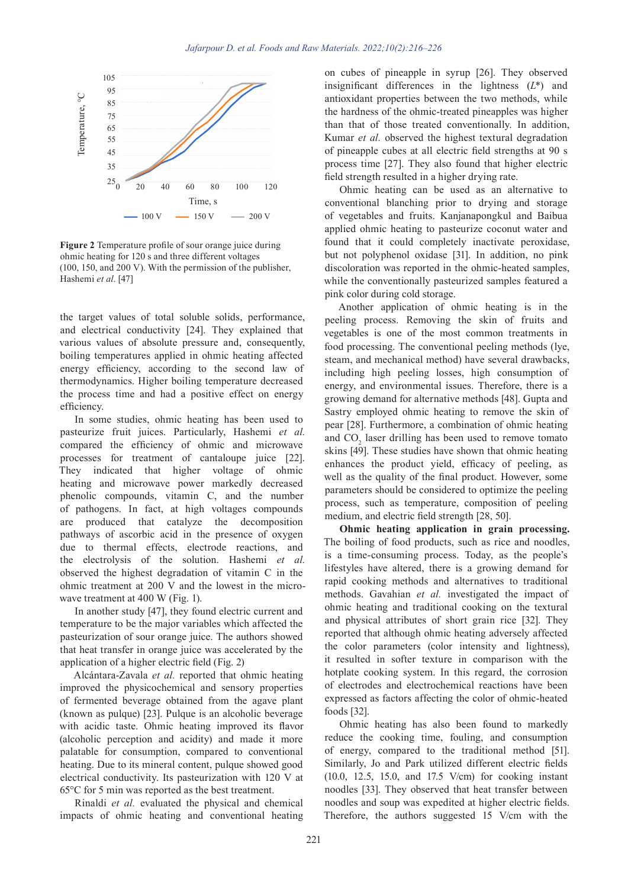

**Figure 2** Temperature profile of sour orange juice during ohmic heating for 120 s and three different voltages (100, 150, and 200 V). With the permission of the publisher, Hashemi *et al*. [47]

the target values of total soluble solids, performance, and electrical conductivity [24]. They explained that various values of absolute pressure and, consequently, boiling temperatures applied in ohmic heating affected energy efficiency, according to the second law of thermodynamics. Higher boiling temperature decreased the process time and had a positive effect on energy efficiency.

In some studies, ohmic heating has been used to pasteurize fruit juices. Particularly, Hashemi *et al.* compared the efficiency of ohmic and microwave processes for treatment of cantaloupe juice [22]. They indicated that higher voltage of ohmic heating and microwave power markedly decreased phenolic compounds, vitamin C, and the number of pathogens. In fact, at high voltages compounds are produced that catalyze the decomposition pathways of ascorbic acid in the presence of oxygen due to thermal effects, electrode reactions, and the electrolysis of the solution. Hashemi *et al.* observed the highest degradation of vitamin C in the ohmic treatment at 200 V and the lowest in the microwave treatment at 400 W (Fig. 1).

In another study [47], they found electric current and temperature to be the major variables which affected the pasteurization of sour orange juice. The authors showed that heat transfer in orange juice was accelerated by the application of a higher electric field (Fig. 2)

Alcántara-Zavala *et al.* reported that ohmic heating improved the physicochemical and sensory properties of fermented beverage obtained from the agave plant (known as pulque) [23]. Pulque is an alcoholic beverage with acidic taste. Ohmic heating improved its flavor (alcoholic perception and acidity) and made it more palatable for consumption, compared to conventional heating. Due to its mineral content, pulque showed good electrical conductivity. Its pasteurization with 120 V at 65°C for 5 min was reported as the best treatment.

Rinaldi *et al.* evaluated the physical and chemical impacts of ohmic heating and conventional heating on cubes of pineapple in syrup [26]. They observed insignificant differences in the lightness (*L*\*) and antioxidant properties between the two methods, while the hardness of the ohmic-treated pineapples was higher than that of those treated conventionally. In addition, Kumar *et al.* observed the highest textural degradation of pineapple cubes at all electric field strengths at 90 s process time [27]. They also found that higher electric field strength resulted in a higher drying rate.

Ohmic heating can be used as an alternative to conventional blanching prior to drying and storage of vegetables and fruits. Kanjanapongkul and Baibua applied ohmic heating to pasteurize coconut water and found that it could completely inactivate peroxidase, but not polyphenol oxidase [31]. In addition, no pink discoloration was reported in the ohmic-heated samples, while the conventionally pasteurized samples featured a pink color during cold storage.

Another application of ohmic heating is in the peeling process. Removing the skin of fruits and vegetables is one of the most common treatments in food processing. The conventional peeling methods (lye, steam, and mechanical method) have several [drawbacks](https://www.powerthesaurus.org/drawbacks), including high peeling losses, high consumption of energy, and environmental issues. Therefore, there is a growing demand for alternative methods [48]. Gupta and Sastry employed ohmic heating to remove the skin of pear [28]. [Furthermore,](https://www.powerthesaurus.org/furthermore/synonyms) a combination of ohmic heating and  $CO<sub>2</sub>$  laser drilling has been used to remove tomato skins [49]. These studies have shown that ohmic heating enhances the product yield, efficacy of peeling, as well as the quality of the final product. However, some parameters should be considered to optimize the peeling process, such as temperature, composition of peeling medium, and electric field strength [28, 50].

**Ohmic heating application in grain processing.** The boiling of food products, such as rice and noodles, is a time-consuming process. Today, as the people's lifestyles have altered, there is a growing demand for rapid cooking methods and alternatives to traditional methods. Gavahian *et al.* investigated the impact of ohmic heating and traditional cooking on the textural and physical [attribute](https://www.powerthesaurus.org/attribute/synonyms)s of short grain rice [32]. They reported that although ohmic heating adversely affected the color parameters (color intensity and lightness), it resulted in softer texture in comparison with the hotplate cooking system. In this regard, the corrosion of electrodes and electrochemical reactions have been expressed as factors affecting the color of ohmic-heated foods [32].

Ohmic heating has also been found to markedly reduce the cooking time, fouling, and consumption of energy, compared to the traditional method [51]. Similarly, Jo and Park utilized different electric fields (10.0, 12.5, 15.0, and 17.5 V/cm) for cooking instant noodles [33]. They observed that heat transfer between noodles and soup was expedited at higher electric fields. Therefore, the authors suggested 15 V/cm with the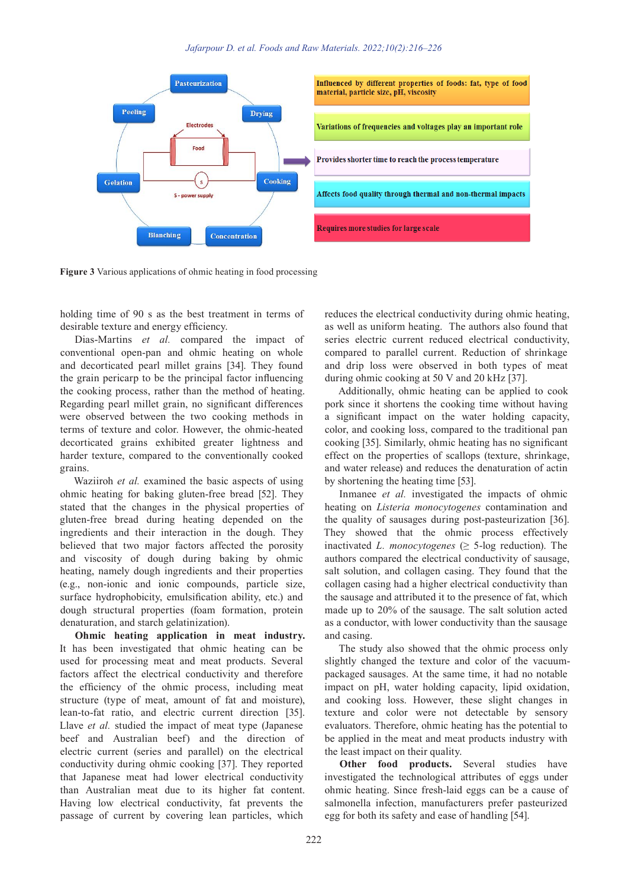

**Figure 3** Various applications of ohmic heating in food processing

holding time of 90 s as the best treatment in terms of desirable texture and energy efficiency.

Dias-Martins *et al.* compared the impact of conventional open-pan and ohmic heating on whole and decorticated pearl millet grains [34]. They found the grain pericarp to be the principal factor influencing the cooking process, rather than the method of heating. Regarding pearl millet grain, no significant differences were observed between the two cooking methods in terms of texture and color. However, the ohmic-heated decorticated grains exhibited greater lightness and harder texture, compared to the conventionally cooked grains.

Waziiroh *et al.* examined the basic aspects of using ohmic heating for baking gluten-free bread [52]. They stated that the changes in the physical properties of gluten-free bread during heating depended on the ingredients and their interaction in the dough. They believed that two major factors affected the porosity and viscosity of dough during baking by ohmic heating, namely dough ingredients and their properties (e.g., non-ionic and ionic compounds, particle size, surface hydrophobicity, emulsification ability, etc.) and dough structural properties (foam formation, protein denaturation, and starch gelatinization).

**Ohmic heating application in meat industry.** It has been investigated that ohmic heating can be used for processing meat and meat products. Several factors affect the electrical conductivity and therefore the efficiency of the ohmic process, including meat structure (type of meat, amount of fat and moisture), lean-to-fat ratio, and electric current direction [35]. Llave *et al.* studied the impact of meat type (Japanese beef and Australian beef) and the direction of electric current (series and parallel) on the electrical conductivity during ohmic cooking [37]. They reported that Japanese meat had lower electrical conductivity than Australian meat due to its higher fat content. Having low electrical conductivity, fat prevents the passage of current by covering lean particles, which

reduces the electrical conductivity during ohmic heating, as well as uniform heating. The authors also found that series electric current reduced electrical conductivity, compared to parallel current. Reduction of shrinkage and drip loss were observed in both types of meat during ohmic cooking at 50 V and 20 kHz [37].

Additionally, ohmic heating can be applied to cook pork since it shortens the cooking time without having a significant impact on the water holding capacity, color, and cooking loss, compared to the traditional pan cooking [35]. Similarly, ohmic heating has no significant effect on the properties of scallops (texture, shrinkage, and water release) and reduces the denaturation of actin by shortening the heating time [53].

Inmanee *et al.* investigated the impacts of ohmic heating on *Listeria monocytogenes* contamination and the quality of sausages during post-pasteurization [36]. They showed that the ohmic process effectively inactivated *L. monocytogenes*  $( \geq 5$ -log reduction). The authors compared the electrical conductivity of sausage, salt solution, and collagen casing. They found that the collagen casing had a higher electrical conductivity than the sausage and attributed it to the presence of fat, which made up to 20% of the sausage. The salt solution acted as a conductor, with lower conductivity than the sausage and casing.

The study also showed that the ohmic process only slightly changed the texture and color of the vacuumpackaged sausages. At the same time, it had no notable impact on pH, water holding capacity, lipid oxidation, and cooking loss. However, these slight changes in texture and color were not detectable by sensory evaluators. Therefore, ohmic heating has the potential to be applied in the meat and meat products industry with the least impact on their quality.

**Other food products.** Several studies have investigated the technological attributes of eggs under ohmic heating. Since fresh-laid eggs can be a cause of salmonella infection, manufacturers prefer pasteurized egg for both its safety and ease of handling [54].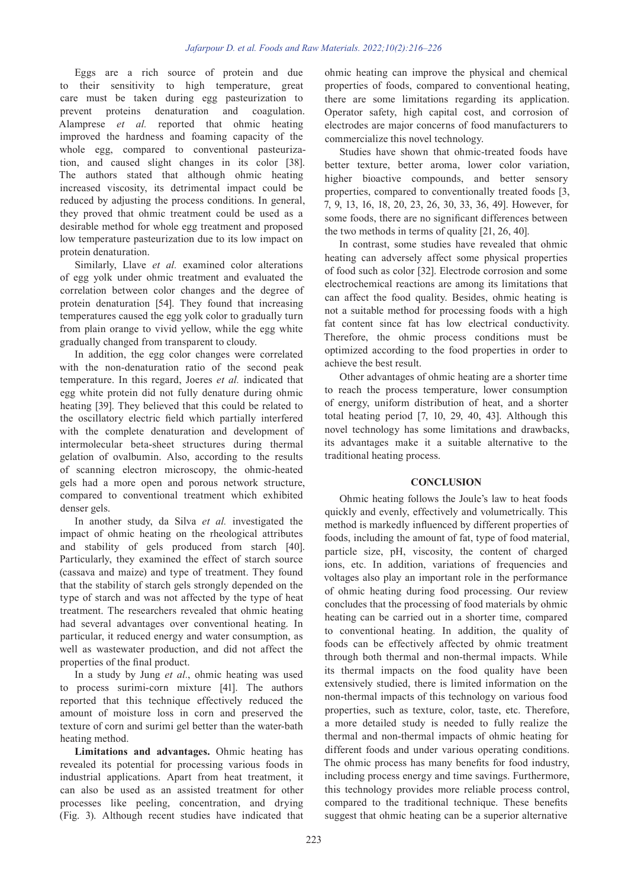Eggs are a rich source of protein and due to their sensitivity to high temperature, great care must be taken during egg pasteurization to prevent proteins denaturation and coagulation. Alamprese *et al.* reported that ohmic heating improved the hardness and foaming capacity of the whole egg, compared to conventional pasteurization, and caused slight changes in its color [38]. The authors stated that although ohmic heating increased viscosity, its detrimental impact could be reduced by adjusting the process conditions. In general, they proved that ohmic treatment could be used as a desirable method for whole egg treatment and proposed low temperature pasteurization due to its low impact on protein denaturation.

Similarly, [Llave](https://www.sciencedirect.com/science/article/abs/pii/S0260877417304995#!) *et al.* examined color alterations of egg yolk under ohmic treatment and evaluated the correlation between color changes and the degree of protein denaturation [54]. They found that increasing temperatures caused the egg yolk color to gradually turn from plain orange to vivid yellow, while the egg white gradually changed from transparent to cloudy.

In addition, the egg color changes were correlated with the non-denaturation ratio of the second peak temperature. In this regard, Joeres *et al.* indicated that egg white protein did not fully denature during ohmic heating [39]. They believed that this could be related to the oscillatory electric field which partially interfered with the complete denaturation and development of intermolecular beta-sheet structures during thermal gelation of ovalbumin. Also, according to the results of scanning electron microscopy, the ohmic-heated gels had a more open and porous network structure, compared to conventional treatment which exhibited denser gels.

In another study, da Silva *et al.* investigated the impact of ohmic heating on the rheological attributes and stability of gels produced from starch [40]. Particularly, they examined the effect of starch source (cassava and maize) and type of treatment. They found that the stability of starch gels strongly depended on the type of starch and was not affected by the type of heat treatment. The researchers revealed that ohmic heating had several advantages over conventional heating. In particular, it reduced energy and water consumption, as well as wastewater production, and did not affect the properties of the final product.

In a study by Jung *et al.*, ohmic heating was used to process surimi-corn mixture [41]. The authors reported that this technique effectively reduced the amount of moisture loss in corn and preserved the texture of corn and surimi gel better than the water-bath heating method.

**Limitations and advantages.** Ohmic heating has revealed its potential for processing various foods in industrial applications. Apart from heat treatment, it can also be used as an assisted treatment for other processes like peeling, concentration, and drying (Fig. 3). Although recent studies have indicated that ohmic heating can improve the physical and chemical properties of foods, compared to conventional heating, there are some limitations regarding its application. Operator safety, high capital cost, and corrosion of electrodes are major concerns of food manufacturers to commercialize this novel technology.

Studies have shown that ohmic-treated foods have better texture, better aroma, lower color variation, higher bioactive compounds, and better sensory properties, compared to conventionally treated foods [3, 7, 9, 13, 16, 18, 20, 23, 26, 30, 33, 36, 49]. However, for some foods, there are no significant differences between the two methods in terms of quality [21, 26, 40].

In contrast, some studies have revealed that ohmic heating can adversely affect some physical properties of food such as color [32]. Electrode corrosion and some electrochemical reactions are among its limitations that can affect the food quality. Besides, ohmic heating is not a suitable method for processing foods with a high fat content since fat has low electrical conductivity. Therefore, the ohmic process conditions must be optimized according to the food properties in order to achieve the best result.

Other advantages of ohmic heating are a shorter time to reach the process temperature, lower consumption of energy, uniform distribution of heat, and a shorter total heating period [7, 10, 29, 40, 43]. Although this novel technology has some limitations and drawbacks, its advantages make it a suitable alternative to the traditional heating process.

# **CONCLUSION**

Ohmic heating follows the Joule's law to heat foods quickly and evenly, effectively and volumetrically. This method is markedly influenced by different properties of foods, including the amount of fat, type of food material, particle size, pH, viscosity, the content of charged ions, etc. In addition, variations of frequencies and voltages also play an important role in the performance of ohmic heating during food processing. Our review concludes that the processing of food materials by ohmic heating can be carried out in a shorter time, compared to conventional heating. In addition, the quality of foods can be effectively affected by ohmic treatment through both thermal and non-thermal impacts. While its thermal impacts on the food quality have been extensively studied, there is limited information on the non-thermal impacts of this technology on various food properties, such as texture, color, taste, etc. Therefore, a more detailed study is needed to fully realize the thermal and non-thermal impacts of ohmic heating for different foods and under various operating conditions. The ohmic process has many benefits for food industry, including process energy and time savings. [Furthermore,](https://www.powerthesaurus.org/furthermore/synonyms) this technology provides more reliable process control, compared to the traditional technique. These benefits suggest that ohmic heating can be a superior alternative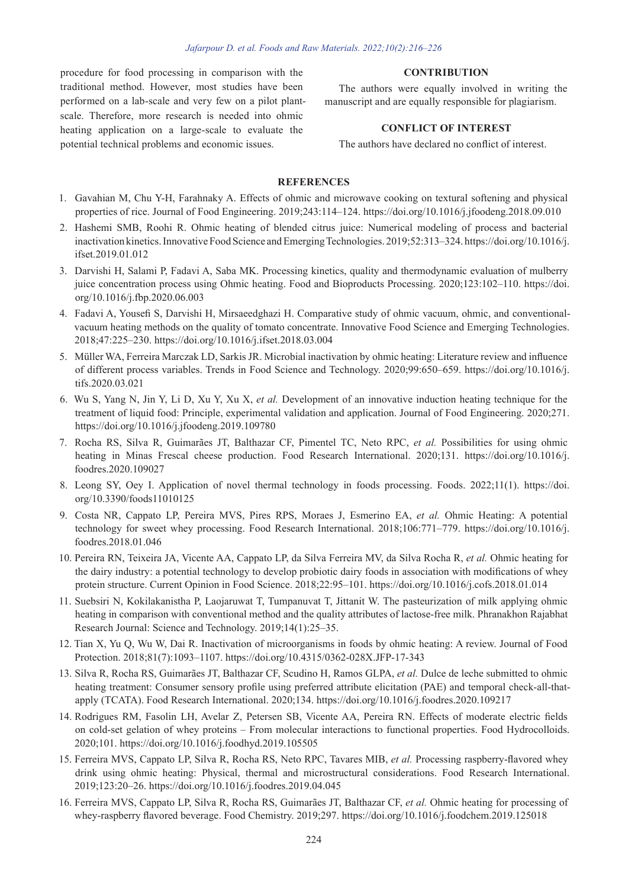procedure for food processing in comparison with the traditional method. However, most studies have been performed on a lab-scale and very few on a pilot plantscale. Therefore, more research is needed into ohmic heating application on a large-scale to evaluate the potential technical problems and economic issues.

#### **CONTRIBUTION**

The authors were equally involved in writing the manuscript and are equally responsible for plagiarism.

## **CONFLICT OF INTEREST**

The authors have declared no conflict of interest.

# **REFERENCES**

- 1. Gavahian M, Chu Y-H, Farahnaky A. Effects of ohmic and microwave cooking on textural softening and physical properties of rice. Journal of Food Engineering. 2019;243:114–124. https://doi.org/10.1016/j.jfoodeng.2018.09.010
- 2. Hashemi SMB, Roohi R. Ohmic heating of blended citrus juice: Numerical modeling of process and bacterial inactivation kinetics. Innovative Food Science and Emerging Technologies. 2019;52:313–324. https://doi.org/10.1016/j. ifset.2019.01.012
- 3. Darvishi H, Salami P, Fadavi A, Saba MK. Processing kinetics, quality and thermodynamic evaluation of mulberry juice concentration process using Ohmic heating. Food and Bioproducts Processing. 2020;123:102–110. https://doi. org/10.1016/j.fbp.2020.06.003
- 4. Fadavi A, Yousefi S, Darvishi H, Mirsaeedghazi H. Comparative study of ohmic vacuum, ohmic, and conventionalvacuum heating methods on the quality of tomato concentrate. Innovative Food Science and Emerging Technologies. 2018;47:225–230. https://doi.org/10.1016/j.ifset.2018.03.004
- 5. Müller WA, Ferreira Marczak LD, Sarkis JR. Microbial inactivation by ohmic heating: Literature review and influence of different process variables. Trends in Food Science and Technology. 2020;99:650–659. https://doi.org/10.1016/j. tifs.2020.03.021
- 6. Wu S, Yang N, Jin Y, Li D, Xu Y, Xu X, *et al.* Development of an innovative induction heating technique for the treatment of liquid food: Principle, experimental validation and application. Journal of Food Engineering. 2020;271. https://doi.org/10.1016/j.jfoodeng.2019.109780
- 7. Rocha RS, Silva R, Guimarães JT, Balthazar CF, Pimentel TC, Neto RPC, *et al.* Possibilities for using ohmic heating in Minas Frescal cheese production. Food Research International. 2020;131. https://doi.org/10.1016/j. foodres.2020.109027
- 8. Leong SY, Oey I. Application of novel thermal technology in foods processing. Foods. 2022;11(1). https://doi. org/10.3390/foods11010125
- 9. Costa NR, Cappato LP, Pereira MVS, Pires RPS, Moraes J, Esmerino EA, *et al.* Ohmic Heating: A potential technology for sweet whey processing. Food Research International. 2018;106:771–779. https://doi.org/10.1016/j. foodres.2018.01.046
- 10. Pereira RN, Teixeira JA, Vicente AA, Cappato LP, da Silva Ferreira MV, da Silva Rocha R, *et al.* Ohmic heating for the dairy industry: a potential technology to develop probiotic dairy foods in association with modifications of whey protein structure. Current Opinion in Food Science. 2018;22:95–101. https://doi.org/10.1016/j.cofs.2018.01.014
- 11. Suebsiri N, Kokilakanistha P, Laojaruwat T, Tumpanuvat T, Jittanit W. The pasteurization of milk applying ohmic heating in comparison with conventional method and the quality attributes of lactose-free milk. Phranakhon Rajabhat Research Journal: Science and Technology. 2019;14(1):25–35.
- 12. Tian X, Yu Q, Wu W, Dai R. Inactivation of microorganisms in foods by ohmic heating: A review. Journal of Food Protection. 2018;81(7):1093–1107. https://doi.org/10.4315/0362-028X.JFP-17-343
- 13. Silva R, Rocha RS, Guimarães JT, Balthazar CF, Scudino H, Ramos GLPA, *et al.* Dulce de leche submitted to ohmic heating treatment: Consumer sensory profile using preferred attribute elicitation (PAE) and temporal check-all-thatapply (TCATA). Food Research International. 2020;134. https://doi.org/10.1016/j.foodres.2020.109217
- 14. Rodrigues RM, Fasolin LH, Avelar Z, Petersen SB, Vicente AA, Pereira RN. Effects of moderate electric fields on cold-set gelation of whey proteins – From molecular interactions to functional properties. Food Hydrocolloids. 2020;101. https://doi.org/10.1016/j.foodhyd.2019.105505
- 15. Ferreira MVS, Cappato LP, Silva R, Rocha RS, Neto RPC, Tavares MIB, *et al.* Processing raspberry-flavored whey drink using ohmic heating: Physical, thermal and microstructural considerations. Food Research International. 2019;123:20–26. https://doi.org/10.1016/j.foodres.2019.04.045
- 16. Ferreira MVS, Cappato LP, Silva R, Rocha RS, Guimarães JT, Balthazar CF, *et al.* Ohmic heating for processing of whey-raspberry flavored beverage. Food Chemistry. 2019;297. https://doi.org/10.1016/j.foodchem.2019.125018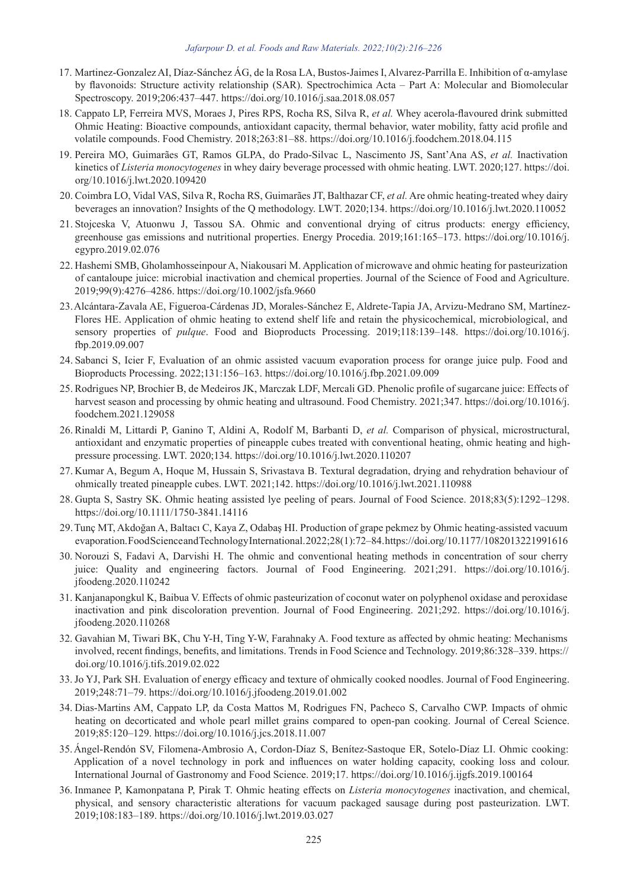#### *Jafarpour D. et al. Foods and Raw Materials. 2022;10(2):216–226*

- 17. Martinez-Gonzalez AI, Díaz-Sánchez ÁG, de la Rosa LA, Bustos-Jaimes I, Alvarez-Parrilla E. Inhibition of α-amylase by flavonoids: Structure activity relationship (SAR). Spectrochimica Acta – Part A: Molecular and Biomolecular Spectroscopy. 2019;206:437–447. https://doi.org/10.1016/j.saa.2018.08.057
- 18. Cappato LP, Ferreira MVS, Moraes J, Pires RPS, Rocha RS, Silva R, *et al.* Whey acerola-flavoured drink submitted Ohmic Heating: Bioactive compounds, antioxidant capacity, thermal behavior, water mobility, fatty acid profile and volatile compounds. Food Chemistry. 2018;263:81–88. https://doi.org/10.1016/j.foodchem.2018.04.115
- 19. Pereira MO, Guimarães GT, Ramos GLPA, do Prado-Silvac L, Nascimento JS, Sant'Ana AS, *et al.* Inactivation kinetics of *Listeria monocytogenes* in whey dairy beverage processed with ohmic heating. LWT. 2020;127. https://doi. org/10.1016/j.lwt.2020.109420
- 20. Coimbra LO, Vidal VAS, Silva R, Rocha RS, Guimarães JT, Balthazar CF, *et al.* Are ohmic heating-treated whey dairy beverages an innovation? Insights of the Q methodology. LWT. 2020;134. https://doi.org/10.1016/j.lwt.2020.110052
- 21. Stojceska V, Atuonwu J, Tassou SA. Ohmic and conventional drying of citrus products: energy efficiency, greenhouse gas emissions and nutritional properties. Energy Procedia. 2019;161:165–173. https://doi.org/10.1016/j. egypro.2019.02.076
- 22. Hashemi SMB, Gholamhosseinpour A, Niakousari M. Application of microwave and ohmic heating for pasteurization of cantaloupe juice: microbial inactivation and chemical properties. Journal of the Science of Food and Agriculture. 2019;99(9):4276–4286. https://doi.org/10.1002/jsfa.9660
- 23.Alcántara-Zavala AE, Figueroa-Cárdenas JD, Morales-Sánchez E, Aldrete-Tapia JA, Arvizu-Medrano SM, Martínez-Flores HE. Application of ohmic heating to extend shelf life and retain the physicochemical, microbiological, and sensory properties of *pulque*. Food and Bioproducts Processing. 2019;118:139–148. https://doi.org/10.1016/j. fbp.2019.09.007
- 24. Sabanci S, Icier F, Evaluation of an ohmic assisted vacuum evaporation process for orange juice pulp. Food and Bioproducts Processing. 2022;131:156–163. https://doi.org/10.1016/j.fbp.2021.09.009
- 25. Rodrigues NP, Brochier B, de Medeiros JK, Marczak LDF, Mercali GD. Phenolic profile of sugarcane juice: Effects of harvest season and processing by ohmic heating and ultrasound. Food Chemistry. 2021;347. https://doi.org/10.1016/j. foodchem.2021.129058
- 26. Rinaldi M, Littardi P, Ganino T, Aldini A, Rodolf M, Barbanti D, *et al.* Comparison of physical, microstructural, antioxidant and enzymatic properties of pineapple cubes treated with conventional heating, ohmic heating and highpressure processing. LWT. 2020;134. https://doi.org/10.1016/j.lwt.2020.110207
- 27. Kumar A, Begum A, Hoque M, Hussain S, Srivastava B. Textural degradation, drying and rehydration behaviour of ohmically treated pineapple cubes. LWT. 2021;142. https://doi.org/10.1016/j.lwt.2021.110988
- 28. Gupta S, Sastry SK. Ohmic heating assisted lye peeling of pears. Journal of Food Science. 2018;83(5):1292–1298. https://doi.org/10.1111/1750-3841.14116
- 29.Tunç MT, Akdoğan A, Baltacı C, Kaya Z, Odabaş HI. Production of grape pekmez by Ohmic heating-assisted vacuum evaporation. Food Science and Technology International. 2022;28(1):72–84. https://doi.org/10.1177/1082013221991616
- 30. Norouzi S, Fadavi A, Darvishi H. The ohmic and conventional heating methods in concentration of sour cherry juice: Quality and engineering factors. Journal of Food Engineering. 2021;291. https://doi.org/10.1016/j. jfoodeng.2020.110242
- 31. Kanjanapongkul K, Baibua V. Effects of ohmic pasteurization of coconut water on polyphenol oxidase and peroxidase inactivation and pink discoloration prevention. Journal of Food Engineering. 2021;292. https://doi.org/10.1016/j. jfoodeng.2020.110268
- 32. Gavahian M, Tiwari BK, Chu Y-H, Ting Y-W, Farahnaky A. Food texture as affected by ohmic heating: Mechanisms involved, recent findings, benefits, and limitations. Trends in Food Science and Technology. 2019;86:328–339. https:// doi.org/10.1016/j.tifs.2019.02.022
- 33.Jo YJ, Park SH. Evaluation of energy efficacy and texture of ohmically cooked noodles. Journal of Food Engineering. 2019;248:71–79. https://doi.org/10.1016/j.jfoodeng.2019.01.002
- 34. Dias-Martins AM, Cappato LP, da Costa Mattos M, Rodrigues FN, Pacheco S, Carvalho CWP. Impacts of ohmic heating on decorticated and whole pearl millet grains compared to open-pan cooking. Journal of Cereal Science. 2019;85:120–129. https://doi.org/10.1016/j.jcs.2018.11.007
- 35.Ángel-Rendón SV, Filomena-Ambrosio A, Cordon-Díaz S, Benítez-Sastoque ER, Sotelo-Díaz LI. Ohmic cooking: Application of a novel technology in pork and influences on water holding capacity, cooking loss and colour. International Journal of Gastronomy and Food Science. 2019;17. https://doi.org/10.1016/j.ijgfs.2019.100164
- 36. Inmanee P, Kamonpatana P, Pirak T. Ohmic heating effects on *Listeria monocytogenes* inactivation, and chemical, physical, and sensory characteristic alterations for vacuum packaged sausage during post pasteurization. LWT. 2019;108:183–189. https://doi.org/10.1016/j.lwt.2019.03.027